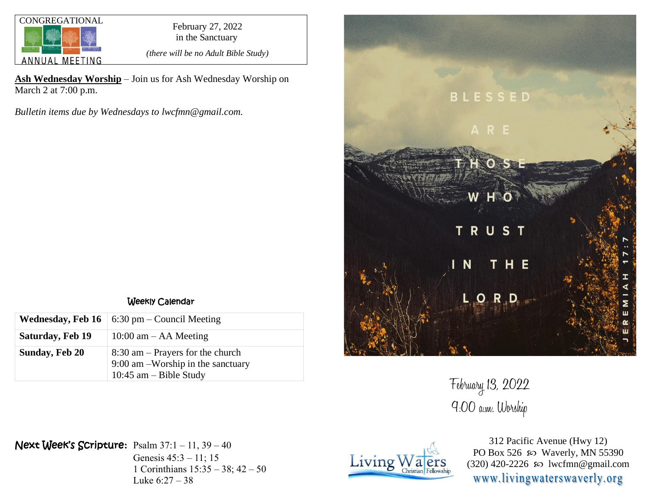

in the Sanctuary

*(there will be no Adult Bible Study)*

**Ash Wednesday Worship** – Join us for Ash Wednesday Worship on March 2 at 7:00 p.m.

*Bulletin items due by Wednesdays to lwcfmn@gmail.com.*

|                       | <b>Wednesday, Feb 16</b>   6:30 pm – Council Meeting                                                |  |
|-----------------------|-----------------------------------------------------------------------------------------------------|--|
| Saturday, Feb 19      | $10:00$ am $-$ AA Meeting                                                                           |  |
| <b>Sunday, Feb 20</b> | $8:30$ am – Prayers for the church<br>9:00 am -Worship in the sanctuary<br>10:45 $am - Bible$ Study |  |



February 13, 2022 9:00 a.m. Worship

Next Week's Scripture**:** Psalm 37:1 – 11, 39 – 40

Genesis 45:3 – 11; 15 1 Corinthians 15:35 – 38; 42 – 50 Luke 6:27 – 38



312 Pacific Avenue (Hwy 12) PO Box 526  $\infty$  Waverly, MN 55390 (320) 420-2226  $\infty$  lwcfmn@gmail.com www.livingwaterswaverly.org